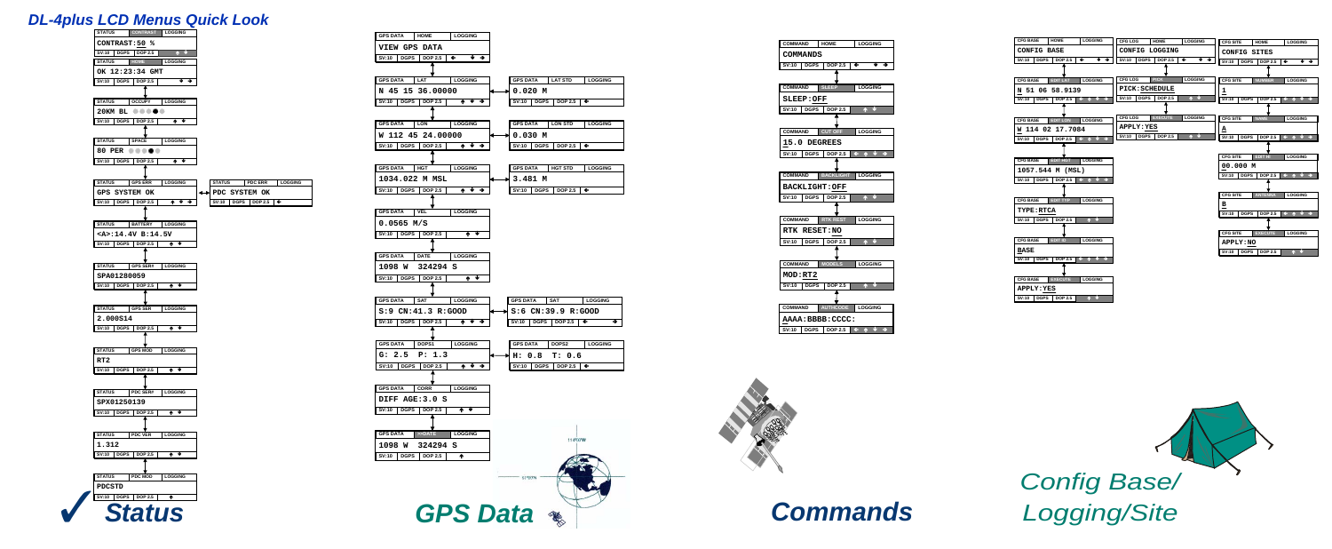





| <b>COMMAND</b>              | <b>HOME</b>      | LOGGING           |
|-----------------------------|------------------|-------------------|
| <b>COMMANDS</b>             |                  |                   |
| SV:10<br><b>DGPS</b>        | <b>DOP 2.5</b>   | ∗ →<br>$\epsilon$ |
|                             |                  |                   |
| <b>COMMAND</b>              | <b>SLEEP</b>     | <b>LOGGING</b>    |
| <b>SLEEP:OFF</b>            |                  |                   |
| <b>DGPS</b><br>SV:10        | <b>DOP 2.5</b>   | ₩.                |
|                             |                  |                   |
| <b>COMMAND</b>              | <b>CUT OFF</b>   | <b>LOGGING</b>    |
| 15.0 DEGREES                |                  |                   |
| <b>SV:10</b>                | DGPS DOP 2.5     |                   |
|                             |                  |                   |
| <b>COMMAND</b>              | <b>BACKLIGHT</b> | <b>LOGGING</b>    |
| <b>BACKLIGHT:OFF</b>        |                  |                   |
| <b>SV:10</b><br><b>DGPS</b> | <b>DOP 2.5</b>   |                   |
|                             |                  |                   |
| <b>COMMAND</b>              | <b>RTK REST</b>  | <b>LOGGING</b>    |
| RTK RESET:NO                |                  |                   |
| <b>SV:10</b><br><b>DGPS</b> | <b>DOP 2.5</b>   |                   |
|                             |                  |                   |
| <b>COMMAND</b>              | <b>MODELS</b>    | LOGGING           |
| MOD:RT2                     |                  |                   |
| <b>SV:10</b><br><b>DGPS</b> | <b>DOP 2.5</b>   | Λ.                |
|                             |                  |                   |
| <b>COMMAND</b>              | <b>AUTHCODE</b>  | <b>LOGGING</b>    |
| AAAA : BBBB : CCCC :        |                  |                   |
|                             |                  |                   |